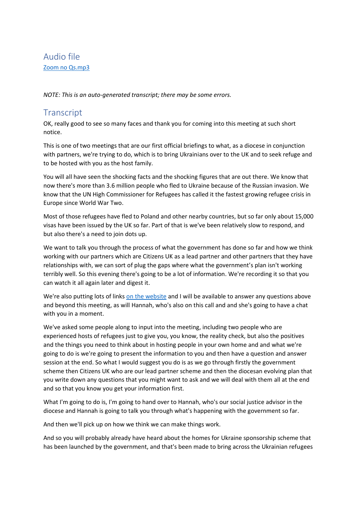Audio file [Zoom no Qs.mp3](https://oxforddiocesan-my.sharepoint.com/personal/emma_thompson_oxford_anglican_org/Documents/Transcribed%20Files/Zoom%20no%20Qs.mp3)

*NOTE: This is an auto-generated transcript; there may be some errors.*

## **Transcript**

OK, really good to see so many faces and thank you for coming into this meeting at such short notice.

This is one of two meetings that are our first official briefings to what, as a diocese in conjunction with partners, we're trying to do, which is to bring Ukrainians over to the UK and to seek refuge and to be hosted with you as the host family.

You will all have seen the shocking facts and the shocking figures that are out there. We know that now there's more than 3.6 million people who fled to Ukraine because of the Russian invasion. We know that the UN High Commissioner for Refugees has called it the fastest growing refugee crisis in Europe since World War Two.

Most of those refugees have fled to Poland and other nearby countries, but so far only about 15,000 visas have been issued by the UK so far. Part of that is we've been relatively slow to respond, and but also there's a need to join dots up.

We want to talk you through the process of what the government has done so far and how we think working with our partners which are Citizens UK as a lead partner and other partners that they have relationships with, we can sort of plug the gaps where what the government's plan isn't working terribly well. So this evening there's going to be a lot of information. We're recording it so that you can watch it all again later and digest it.

We're also putting lots of links [on the website](https://www.oxford.anglican.org/make-a-difference-in-ukraine.php) and I will be available to answer any questions above and beyond this meeting, as will Hannah, who's also on this call and and she's going to have a chat with you in a moment.

We've asked some people along to input into the meeting, including two people who are experienced hosts of refugees just to give you, you know, the reality check, but also the positives and the things you need to think about in hosting people in your own home and and what we're going to do is we're going to present the information to you and then have a question and answer session at the end. So what I would suggest you do is as we go through firstly the government scheme then Citizens UK who are our lead partner scheme and then the diocesan evolving plan that you write down any questions that you might want to ask and we will deal with them all at the end and so that you know you get your information first.

What I'm going to do is, I'm going to hand over to Hannah, who's our social justice advisor in the diocese and Hannah is going to talk you through what's happening with the government so far.

And then we'll pick up on how we think we can make things work.

And so you will probably already have heard about the homes for Ukraine sponsorship scheme that has been launched by the government, and that's been made to bring across the Ukrainian refugees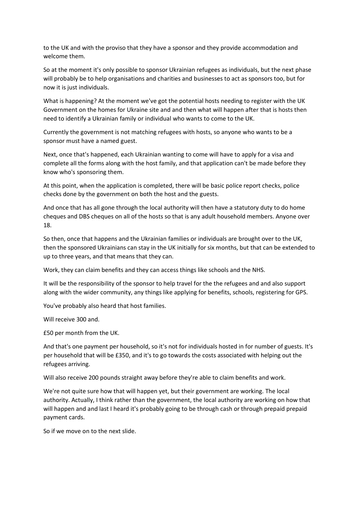to the UK and with the proviso that they have a sponsor and they provide accommodation and welcome them.

So at the moment it's only possible to sponsor Ukrainian refugees as individuals, but the next phase will probably be to help organisations and charities and businesses to act as sponsors too, but for now it is just individuals.

What is happening? At the moment we've got the potential hosts needing to register with the UK Government on the homes for Ukraine site and and then what will happen after that is hosts then need to identify a Ukrainian family or individual who wants to come to the UK.

Currently the government is not matching refugees with hosts, so anyone who wants to be a sponsor must have a named guest.

Next, once that's happened, each Ukrainian wanting to come will have to apply for a visa and complete all the forms along with the host family, and that application can't be made before they know who's sponsoring them.

At this point, when the application is completed, there will be basic police report checks, police checks done by the government on both the host and the guests.

And once that has all gone through the local authority will then have a statutory duty to do home cheques and DBS cheques on all of the hosts so that is any adult household members. Anyone over 18.

So then, once that happens and the Ukrainian families or individuals are brought over to the UK, then the sponsored Ukrainians can stay in the UK initially for six months, but that can be extended to up to three years, and that means that they can.

Work, they can claim benefits and they can access things like schools and the NHS.

It will be the responsibility of the sponsor to help travel for the the refugees and and also support along with the wider community, any things like applying for benefits, schools, registering for GPS.

You've probably also heard that host families.

Will receive 300 and.

£50 per month from the UK.

And that's one payment per household, so it's not for individuals hosted in for number of guests. It's per household that will be £350, and it's to go towards the costs associated with helping out the refugees arriving.

Will also receive 200 pounds straight away before they're able to claim benefits and work.

We're not quite sure how that will happen yet, but their government are working. The local authority. Actually, I think rather than the government, the local authority are working on how that will happen and and last I heard it's probably going to be through cash or through prepaid prepaid payment cards.

So if we move on to the next slide.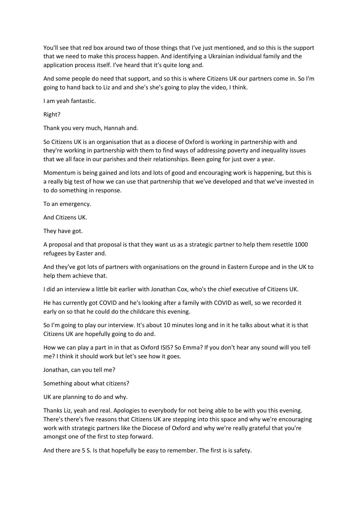You'll see that red box around two of those things that I've just mentioned, and so this is the support that we need to make this process happen. And identifying a Ukrainian individual family and the application process itself. I've heard that it's quite long and.

And some people do need that support, and so this is where Citizens UK our partners come in. So I'm going to hand back to Liz and and she's she's going to play the video, I think.

I am yeah fantastic.

Right?

Thank you very much, Hannah and.

So Citizens UK is an organisation that as a diocese of Oxford is working in partnership with and they're working in partnership with them to find ways of addressing poverty and inequality issues that we all face in our parishes and their relationships. Been going for just over a year.

Momentum is being gained and lots and lots of good and encouraging work is happening, but this is a really big test of how we can use that partnership that we've developed and that we've invested in to do something in response.

To an emergency.

And Citizens UK.

They have got.

A proposal and that proposal is that they want us as a strategic partner to help them resettle 1000 refugees by Easter and.

And they've got lots of partners with organisations on the ground in Eastern Europe and in the UK to help them achieve that.

I did an interview a little bit earlier with Jonathan Cox, who's the chief executive of Citizens UK.

He has currently got COVID and he's looking after a family with COVID as well, so we recorded it early on so that he could do the childcare this evening.

So I'm going to play our interview. It's about 10 minutes long and in it he talks about what it is that Citizens UK are hopefully going to do and.

How we can play a part in in that as Oxford ISIS? So Emma? If you don't hear any sound will you tell me? I think it should work but let's see how it goes.

Jonathan, can you tell me?

Something about what citizens?

UK are planning to do and why.

Thanks Liz, yeah and real. Apologies to everybody for not being able to be with you this evening. There's there's five reasons that Citizens UK are stepping into this space and why we're encouraging work with strategic partners like the Diocese of Oxford and why we're really grateful that you're amongst one of the first to step forward.

And there are 5 S. Is that hopefully be easy to remember. The first is is safety.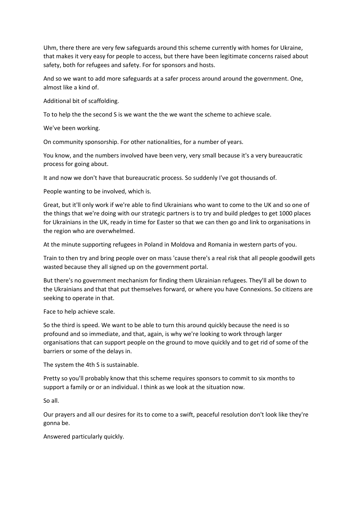Uhm, there there are very few safeguards around this scheme currently with homes for Ukraine, that makes it very easy for people to access, but there have been legitimate concerns raised about safety, both for refugees and safety. For for sponsors and hosts.

And so we want to add more safeguards at a safer process around around the government. One, almost like a kind of.

Additional bit of scaffolding.

To to help the the second S is we want the the we want the scheme to achieve scale.

We've been working.

On community sponsorship. For other nationalities, for a number of years.

You know, and the numbers involved have been very, very small because it's a very bureaucratic process for going about.

It and now we don't have that bureaucratic process. So suddenly I've got thousands of.

People wanting to be involved, which is.

Great, but it'll only work if we're able to find Ukrainians who want to come to the UK and so one of the things that we're doing with our strategic partners is to try and build pledges to get 1000 places for Ukrainians in the UK, ready in time for Easter so that we can then go and link to organisations in the region who are overwhelmed.

At the minute supporting refugees in Poland in Moldova and Romania in western parts of you.

Train to then try and bring people over on mass 'cause there's a real risk that all people goodwill gets wasted because they all signed up on the government portal.

But there's no government mechanism for finding them Ukrainian refugees. They'll all be down to the Ukrainians and that that put themselves forward, or where you have Connexions. So citizens are seeking to operate in that.

Face to help achieve scale.

So the third is speed. We want to be able to turn this around quickly because the need is so profound and so immediate, and that, again, is why we're looking to work through larger organisations that can support people on the ground to move quickly and to get rid of some of the barriers or some of the delays in.

The system the 4th S is sustainable.

Pretty so you'll probably know that this scheme requires sponsors to commit to six months to support a family or or an individual. I think as we look at the situation now.

So all.

Our prayers and all our desires for its to come to a swift, peaceful resolution don't look like they're gonna be.

Answered particularly quickly.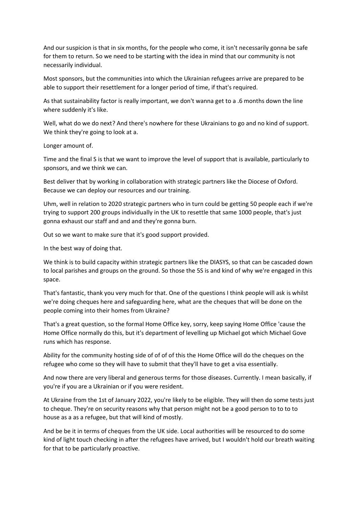And our suspicion is that in six months, for the people who come, it isn't necessarily gonna be safe for them to return. So we need to be starting with the idea in mind that our community is not necessarily individual.

Most sponsors, but the communities into which the Ukrainian refugees arrive are prepared to be able to support their resettlement for a longer period of time, if that's required.

As that sustainability factor is really important, we don't wanna get to a .6 months down the line where suddenly it's like.

Well, what do we do next? And there's nowhere for these Ukrainians to go and no kind of support. We think they're going to look at a.

Longer amount of.

Time and the final S is that we want to improve the level of support that is available, particularly to sponsors, and we think we can.

Best deliver that by working in collaboration with strategic partners like the Diocese of Oxford. Because we can deploy our resources and our training.

Uhm, well in relation to 2020 strategic partners who in turn could be getting 50 people each if we're trying to support 200 groups individually in the UK to resettle that same 1000 people, that's just gonna exhaust our staff and and and they're gonna burn.

Out so we want to make sure that it's good support provided.

In the best way of doing that.

We think is to build capacity within strategic partners like the DIASYS, so that can be cascaded down to local parishes and groups on the ground. So those the 5S is and kind of why we're engaged in this space.

That's fantastic, thank you very much for that. One of the questions I think people will ask is whilst we're doing cheques here and safeguarding here, what are the cheques that will be done on the people coming into their homes from Ukraine?

That's a great question, so the formal Home Office key, sorry, keep saying Home Office 'cause the Home Office normally do this, but it's department of levelling up Michael got which Michael Gove runs which has response.

Ability for the community hosting side of of of of this the Home Office will do the cheques on the refugee who come so they will have to submit that they'll have to get a visa essentially.

And now there are very liberal and generous terms for those diseases. Currently. I mean basically, if you're if you are a Ukrainian or if you were resident.

At Ukraine from the 1st of January 2022, you're likely to be eligible. They will then do some tests just to cheque. They're on security reasons why that person might not be a good person to to to to house as a as a refugee, but that will kind of mostly.

And be be it in terms of cheques from the UK side. Local authorities will be resourced to do some kind of light touch checking in after the refugees have arrived, but I wouldn't hold our breath waiting for that to be particularly proactive.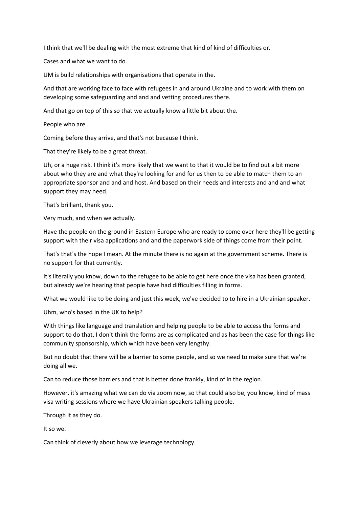I think that we'll be dealing with the most extreme that kind of kind of difficulties or.

Cases and what we want to do.

UM is build relationships with organisations that operate in the.

And that are working face to face with refugees in and around Ukraine and to work with them on developing some safeguarding and and and vetting procedures there.

And that go on top of this so that we actually know a little bit about the.

People who are.

Coming before they arrive, and that's not because I think.

That they're likely to be a great threat.

Uh, or a huge risk. I think it's more likely that we want to that it would be to find out a bit more about who they are and what they're looking for and for us then to be able to match them to an appropriate sponsor and and and host. And based on their needs and interests and and and what support they may need.

That's brilliant, thank you.

Very much, and when we actually.

Have the people on the ground in Eastern Europe who are ready to come over here they'll be getting support with their visa applications and and the paperwork side of things come from their point.

That's that's the hope I mean. At the minute there is no again at the government scheme. There is no support for that currently.

It's literally you know, down to the refugee to be able to get here once the visa has been granted, but already we're hearing that people have had difficulties filling in forms.

What we would like to be doing and just this week, we've decided to to hire in a Ukrainian speaker.

Uhm, who's based in the UK to help?

With things like language and translation and helping people to be able to access the forms and support to do that, I don't think the forms are as complicated and as has been the case for things like community sponsorship, which which have been very lengthy.

But no doubt that there will be a barrier to some people, and so we need to make sure that we're doing all we.

Can to reduce those barriers and that is better done frankly, kind of in the region.

However, it's amazing what we can do via zoom now, so that could also be, you know, kind of mass visa writing sessions where we have Ukrainian speakers talking people.

Through it as they do.

It so we.

Can think of cleverly about how we leverage technology.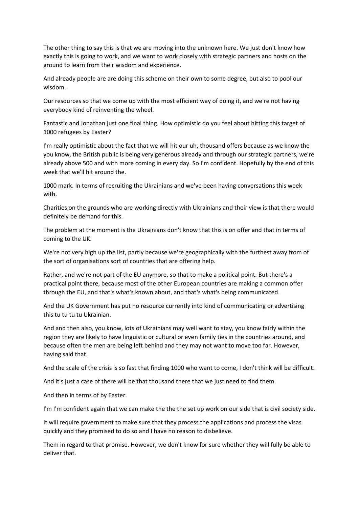The other thing to say this is that we are moving into the unknown here. We just don't know how exactly this is going to work, and we want to work closely with strategic partners and hosts on the ground to learn from their wisdom and experience.

And already people are are doing this scheme on their own to some degree, but also to pool our wisdom.

Our resources so that we come up with the most efficient way of doing it, and we're not having everybody kind of reinventing the wheel.

Fantastic and Jonathan just one final thing. How optimistic do you feel about hitting this target of 1000 refugees by Easter?

I'm really optimistic about the fact that we will hit our uh, thousand offers because as we know the you know, the British public is being very generous already and through our strategic partners, we're already above 500 and with more coming in every day. So I'm confident. Hopefully by the end of this week that we'll hit around the.

1000 mark. In terms of recruiting the Ukrainians and we've been having conversations this week with.

Charities on the grounds who are working directly with Ukrainians and their view is that there would definitely be demand for this.

The problem at the moment is the Ukrainians don't know that this is on offer and that in terms of coming to the UK.

We're not very high up the list, partly because we're geographically with the furthest away from of the sort of organisations sort of countries that are offering help.

Rather, and we're not part of the EU anymore, so that to make a political point. But there's a practical point there, because most of the other European countries are making a common offer through the EU, and that's what's known about, and that's what's being communicated.

And the UK Government has put no resource currently into kind of communicating or advertising this tu tu tu tu Ukrainian.

And and then also, you know, lots of Ukrainians may well want to stay, you know fairly within the region they are likely to have linguistic or cultural or even family ties in the countries around, and because often the men are being left behind and they may not want to move too far. However, having said that.

And the scale of the crisis is so fast that finding 1000 who want to come, I don't think will be difficult.

And it's just a case of there will be that thousand there that we just need to find them.

And then in terms of by Easter.

I'm I'm confident again that we can make the the the set up work on our side that is civil society side.

It will require government to make sure that they process the applications and process the visas quickly and they promised to do so and I have no reason to disbelieve.

Them in regard to that promise. However, we don't know for sure whether they will fully be able to deliver that.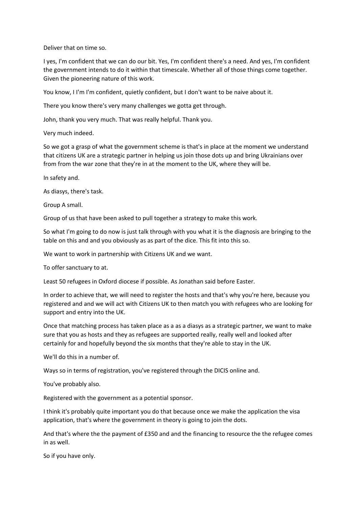Deliver that on time so.

I yes, I'm confident that we can do our bit. Yes, I'm confident there's a need. And yes, I'm confident the government intends to do it within that timescale. Whether all of those things come together. Given the pioneering nature of this work.

You know, I I'm I'm confident, quietly confident, but I don't want to be naive about it.

There you know there's very many challenges we gotta get through.

John, thank you very much. That was really helpful. Thank you.

Very much indeed.

So we got a grasp of what the government scheme is that's in place at the moment we understand that citizens UK are a strategic partner in helping us join those dots up and bring Ukrainians over from from the war zone that they're in at the moment to the UK, where they will be.

In safety and.

As diasys, there's task.

Group A small.

Group of us that have been asked to pull together a strategy to make this work.

So what I'm going to do now is just talk through with you what it is the diagnosis are bringing to the table on this and and you obviously as as part of the dice. This fit into this so.

We want to work in partnership with Citizens UK and we want.

To offer sanctuary to at.

Least 50 refugees in Oxford diocese if possible. As Jonathan said before Easter.

In order to achieve that, we will need to register the hosts and that's why you're here, because you registered and and we will act with Citizens UK to then match you with refugees who are looking for support and entry into the UK.

Once that matching process has taken place as a as a diasys as a strategic partner, we want to make sure that you as hosts and they as refugees are supported really, really well and looked after certainly for and hopefully beyond the six months that they're able to stay in the UK.

We'll do this in a number of.

Ways so in terms of registration, you've registered through the DICIS online and.

You've probably also.

Registered with the government as a potential sponsor.

I think it's probably quite important you do that because once we make the application the visa application, that's where the government in theory is going to join the dots.

And that's where the the payment of £350 and and the financing to resource the the refugee comes in as well.

So if you have only.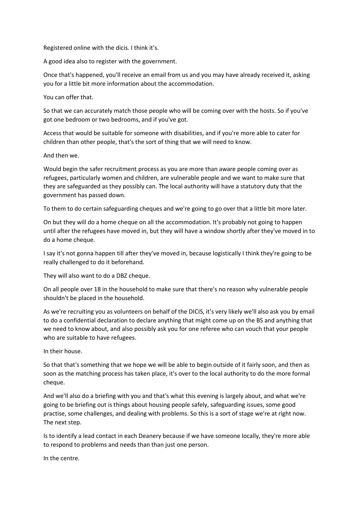Registered online with the dicis. I think it's.

A good idea also to register with the government.

Once that's happened, you'll receive an email from us and you may have already received it, asking you for a little bit more information about the accommodation.

You can offer that.

So that we can accurately match those people who will be coming over with the hosts. So if you've got one bedroom or two bedrooms, and if you've got.

Access that would be suitable for someone with disabilities, and if you're more able to cater for children than other people, that's the sort of thing that we will need to know.

And then we.

Would begin the safer recruitment process as you are more than aware people coming over as refugees, particularly women and children, are vulnerable people and we want to make sure that they are safeguarded as they possibly can. The local authority will have a statutory duty that the government has passed down.

To them to do certain safeguarding cheques and we're going to go over that a little bit more later.

On but they will do a home cheque on all the accommodation. It's probably not going to happen until after the refugees have moved in, but they will have a window shortly after they've moved in to do a home cheque.

I say it's not gonna happen till after they've moved in, because logistically I think they're going to be really challenged to do it beforehand.

They will also want to do a DBZ cheque.

On all people over 18 in the household to make sure that there's no reason why vulnerable people shouldn't be placed in the household.

As we're recruiting you as volunteers on behalf of the DICIS, it's very likely we'll also ask you by email to do a confidential declaration to declare anything that might come up on the BS and anything that we need to know about, and also possibly ask you for one referee who can vouch that your people who are suitable to have refugees.

In their house.

So that that's something that we hope we will be able to begin outside of it fairly soon, and then as soon as the matching process has taken place, it's over to the local authority to do the more formal cheque.

And we'll also do a briefing with you and that's what this evening is largely about, and what we're going to be briefing out is things about housing people safely, safeguarding issues, some good practise, some challenges, and dealing with problems. So this is a sort of stage we're at right now. The next step.

Is to identify a lead contact in each Deanery because if we have someone locally, they're more able to respond to problems and needs than than just one person.

In the centre.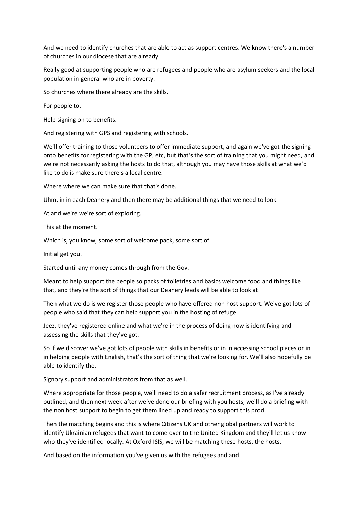And we need to identify churches that are able to act as support centres. We know there's a number of churches in our diocese that are already.

Really good at supporting people who are refugees and people who are asylum seekers and the local population in general who are in poverty.

So churches where there already are the skills.

For people to.

Help signing on to benefits.

And registering with GPS and registering with schools.

We'll offer training to those volunteers to offer immediate support, and again we've got the signing onto benefits for registering with the GP, etc, but that's the sort of training that you might need, and we're not necessarily asking the hosts to do that, although you may have those skills at what we'd like to do is make sure there's a local centre.

Where where we can make sure that that's done.

Uhm, in in each Deanery and then there may be additional things that we need to look.

At and we're we're sort of exploring.

This at the moment.

Which is, you know, some sort of welcome pack, some sort of.

Initial get you.

Started until any money comes through from the Gov.

Meant to help support the people so packs of toiletries and basics welcome food and things like that, and they're the sort of things that our Deanery leads will be able to look at.

Then what we do is we register those people who have offered non host support. We've got lots of people who said that they can help support you in the hosting of refuge.

Jeez, they've registered online and what we're in the process of doing now is identifying and assessing the skills that they've got.

So if we discover we've got lots of people with skills in benefits or in in accessing school places or in in helping people with English, that's the sort of thing that we're looking for. We'll also hopefully be able to identify the.

Signory support and administrators from that as well.

Where appropriate for those people, we'll need to do a safer recruitment process, as I've already outlined, and then next week after we've done our briefing with you hosts, we'll do a briefing with the non host support to begin to get them lined up and ready to support this prod.

Then the matching begins and this is where Citizens UK and other global partners will work to identify Ukrainian refugees that want to come over to the United Kingdom and they'll let us know who they've identified locally. At Oxford ISIS, we will be matching these hosts, the hosts.

And based on the information you've given us with the refugees and and.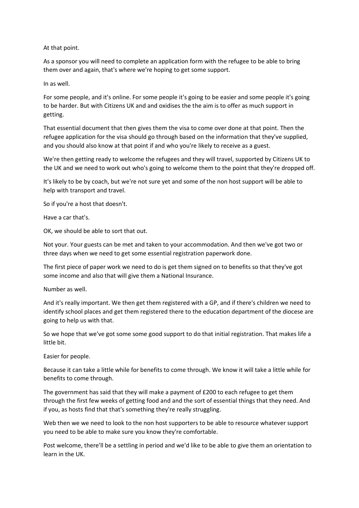At that point.

As a sponsor you will need to complete an application form with the refugee to be able to bring them over and again, that's where we're hoping to get some support.

In as well.

For some people, and it's online. For some people it's going to be easier and some people it's going to be harder. But with Citizens UK and and oxidises the the aim is to offer as much support in getting.

That essential document that then gives them the visa to come over done at that point. Then the refugee application for the visa should go through based on the information that they've supplied, and you should also know at that point if and who you're likely to receive as a guest.

We're then getting ready to welcome the refugees and they will travel, supported by Citizens UK to the UK and we need to work out who's going to welcome them to the point that they're dropped off.

It's likely to be by coach, but we're not sure yet and some of the non host support will be able to help with transport and travel.

So if you're a host that doesn't.

Have a car that's.

OK, we should be able to sort that out.

Not your. Your guests can be met and taken to your accommodation. And then we've got two or three days when we need to get some essential registration paperwork done.

The first piece of paper work we need to do is get them signed on to benefits so that they've got some income and also that will give them a National Insurance.

Number as well.

And it's really important. We then get them registered with a GP, and if there's children we need to identify school places and get them registered there to the education department of the diocese are going to help us with that.

So we hope that we've got some some good support to do that initial registration. That makes life a little bit.

Easier for people.

Because it can take a little while for benefits to come through. We know it will take a little while for benefits to come through.

The government has said that they will make a payment of £200 to each refugee to get them through the first few weeks of getting food and and the sort of essential things that they need. And if you, as hosts find that that's something they're really struggling.

Web then we we need to look to the non host supporters to be able to resource whatever support you need to be able to make sure you know they're comfortable.

Post welcome, there'll be a settling in period and we'd like to be able to give them an orientation to learn in the UK.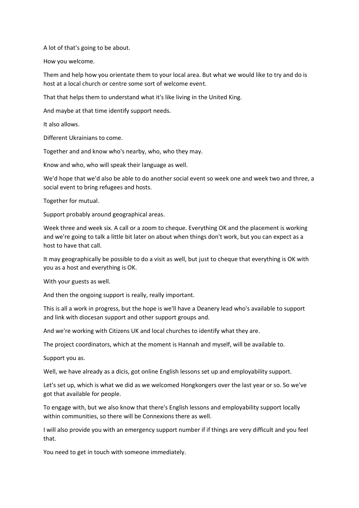A lot of that's going to be about.

How you welcome.

Them and help how you orientate them to your local area. But what we would like to try and do is host at a local church or centre some sort of welcome event.

That that helps them to understand what it's like living in the United King.

And maybe at that time identify support needs.

It also allows.

Different Ukrainians to come.

Together and and know who's nearby, who, who they may.

Know and who, who will speak their language as well.

We'd hope that we'd also be able to do another social event so week one and week two and three, a social event to bring refugees and hosts.

Together for mutual.

Support probably around geographical areas.

Week three and week six. A call or a zoom to cheque. Everything OK and the placement is working and we're going to talk a little bit later on about when things don't work, but you can expect as a host to have that call.

It may geographically be possible to do a visit as well, but just to cheque that everything is OK with you as a host and everything is OK.

With your guests as well.

And then the ongoing support is really, really important.

This is all a work in progress, but the hope is we'll have a Deanery lead who's available to support and link with diocesan support and other support groups and.

And we're working with Citizens UK and local churches to identify what they are.

The project coordinators, which at the moment is Hannah and myself, will be available to.

Support you as.

Well, we have already as a dicis, got online English lessons set up and employability support.

Let's set up, which is what we did as we welcomed Hongkongers over the last year or so. So we've got that available for people.

To engage with, but we also know that there's English lessons and employability support locally within communities, so there will be Connexions there as well.

I will also provide you with an emergency support number if if things are very difficult and you feel that.

You need to get in touch with someone immediately.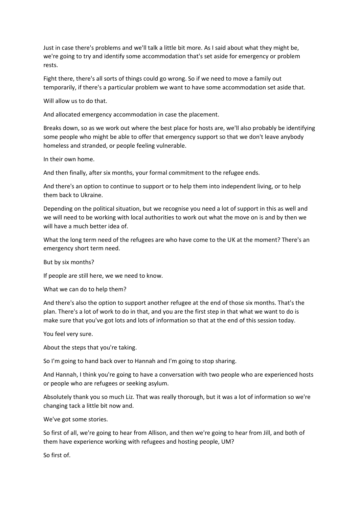Just in case there's problems and we'll talk a little bit more. As I said about what they might be, we're going to try and identify some accommodation that's set aside for emergency or problem rests.

Fight there, there's all sorts of things could go wrong. So if we need to move a family out temporarily, if there's a particular problem we want to have some accommodation set aside that.

Will allow us to do that.

And allocated emergency accommodation in case the placement.

Breaks down, so as we work out where the best place for hosts are, we'll also probably be identifying some people who might be able to offer that emergency support so that we don't leave anybody homeless and stranded, or people feeling vulnerable.

In their own home.

And then finally, after six months, your formal commitment to the refugee ends.

And there's an option to continue to support or to help them into independent living, or to help them back to Ukraine.

Depending on the political situation, but we recognise you need a lot of support in this as well and we will need to be working with local authorities to work out what the move on is and by then we will have a much better idea of.

What the long term need of the refugees are who have come to the UK at the moment? There's an emergency short term need.

But by six months?

If people are still here, we we need to know.

What we can do to help them?

And there's also the option to support another refugee at the end of those six months. That's the plan. There's a lot of work to do in that, and you are the first step in that what we want to do is make sure that you've got lots and lots of information so that at the end of this session today.

You feel very sure.

About the steps that you're taking.

So I'm going to hand back over to Hannah and I'm going to stop sharing.

And Hannah, I think you're going to have a conversation with two people who are experienced hosts or people who are refugees or seeking asylum.

Absolutely thank you so much Liz. That was really thorough, but it was a lot of information so we're changing tack a little bit now and.

We've got some stories.

So first of all, we're going to hear from Allison, and then we're going to hear from Jill, and both of them have experience working with refugees and hosting people, UM?

So first of.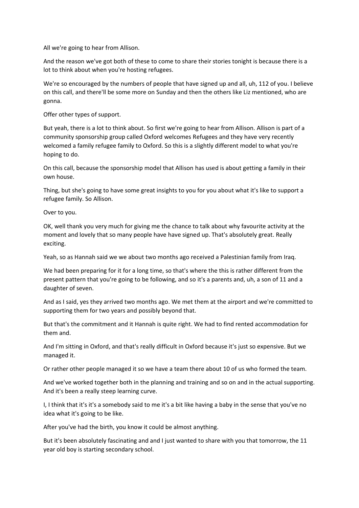All we're going to hear from Allison.

And the reason we've got both of these to come to share their stories tonight is because there is a lot to think about when you're hosting refugees.

We're so encouraged by the numbers of people that have signed up and all, uh, 112 of you. I believe on this call, and there'll be some more on Sunday and then the others like Liz mentioned, who are gonna.

Offer other types of support.

But yeah, there is a lot to think about. So first we're going to hear from Allison. Allison is part of a community sponsorship group called Oxford welcomes Refugees and they have very recently welcomed a family refugee family to Oxford. So this is a slightly different model to what you're hoping to do.

On this call, because the sponsorship model that Allison has used is about getting a family in their own house.

Thing, but she's going to have some great insights to you for you about what it's like to support a refugee family. So Allison.

Over to you.

OK, well thank you very much for giving me the chance to talk about why favourite activity at the moment and lovely that so many people have have signed up. That's absolutely great. Really exciting.

Yeah, so as Hannah said we we about two months ago received a Palestinian family from Iraq.

We had been preparing for it for a long time, so that's where the this is rather different from the present pattern that you're going to be following, and so it's a parents and, uh, a son of 11 and a daughter of seven.

And as I said, yes they arrived two months ago. We met them at the airport and we're committed to supporting them for two years and possibly beyond that.

But that's the commitment and it Hannah is quite right. We had to find rented accommodation for them and.

And I'm sitting in Oxford, and that's really difficult in Oxford because it's just so expensive. But we managed it.

Or rather other people managed it so we have a team there about 10 of us who formed the team.

And we've worked together both in the planning and training and so on and in the actual supporting. And it's been a really steep learning curve.

I, I think that it's it's a somebody said to me it's a bit like having a baby in the sense that you've no idea what it's going to be like.

After you've had the birth, you know it could be almost anything.

But it's been absolutely fascinating and and I just wanted to share with you that tomorrow, the 11 year old boy is starting secondary school.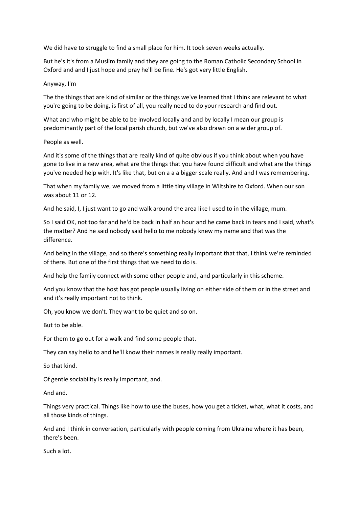We did have to struggle to find a small place for him. It took seven weeks actually.

But he's it's from a Muslim family and they are going to the Roman Catholic Secondary School in Oxford and and I just hope and pray he'll be fine. He's got very little English.

## Anyway, I'm

The the things that are kind of similar or the things we've learned that I think are relevant to what you're going to be doing, is first of all, you really need to do your research and find out.

What and who might be able to be involved locally and and by locally I mean our group is predominantly part of the local parish church, but we've also drawn on a wider group of.

People as well.

And it's some of the things that are really kind of quite obvious if you think about when you have gone to live in a new area, what are the things that you have found difficult and what are the things you've needed help with. It's like that, but on a a a bigger scale really. And and I was remembering.

That when my family we, we moved from a little tiny village in Wiltshire to Oxford. When our son was about 11 or 12.

And he said, I, I just want to go and walk around the area like I used to in the village, mum.

So I said OK, not too far and he'd be back in half an hour and he came back in tears and I said, what's the matter? And he said nobody said hello to me nobody knew my name and that was the difference.

And being in the village, and so there's something really important that that, I think we're reminded of there. But one of the first things that we need to do is.

And help the family connect with some other people and, and particularly in this scheme.

And you know that the host has got people usually living on either side of them or in the street and and it's really important not to think.

Oh, you know we don't. They want to be quiet and so on.

But to be able.

For them to go out for a walk and find some people that.

They can say hello to and he'll know their names is really really important.

So that kind.

Of gentle sociability is really important, and.

And and.

Things very practical. Things like how to use the buses, how you get a ticket, what, what it costs, and all those kinds of things.

And and I think in conversation, particularly with people coming from Ukraine where it has been, there's been.

Such a lot.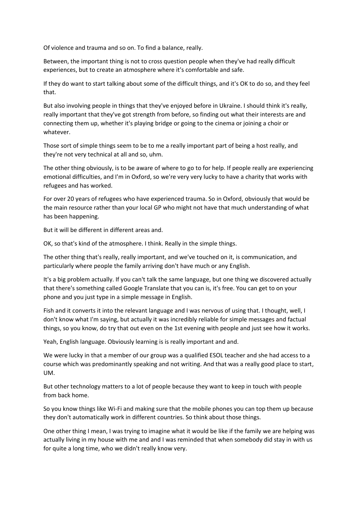Of violence and trauma and so on. To find a balance, really.

Between, the important thing is not to cross question people when they've had really difficult experiences, but to create an atmosphere where it's comfortable and safe.

If they do want to start talking about some of the difficult things, and it's OK to do so, and they feel that.

But also involving people in things that they've enjoyed before in Ukraine. I should think it's really, really important that they've got strength from before, so finding out what their interests are and connecting them up, whether it's playing bridge or going to the cinema or joining a choir or whatever.

Those sort of simple things seem to be to me a really important part of being a host really, and they're not very technical at all and so, uhm.

The other thing obviously, is to be aware of where to go to for help. If people really are experiencing emotional difficulties, and I'm in Oxford, so we're very very lucky to have a charity that works with refugees and has worked.

For over 20 years of refugees who have experienced trauma. So in Oxford, obviously that would be the main resource rather than your local GP who might not have that much understanding of what has been happening.

But it will be different in different areas and.

OK, so that's kind of the atmosphere. I think. Really in the simple things.

The other thing that's really, really important, and we've touched on it, is communication, and particularly where people the family arriving don't have much or any English.

It's a big problem actually. If you can't talk the same language, but one thing we discovered actually that there's something called Google Translate that you can is, it's free. You can get to on your phone and you just type in a simple message in English.

Fish and it converts it into the relevant language and I was nervous of using that. I thought, well, I don't know what I'm saying, but actually it was incredibly reliable for simple messages and factual things, so you know, do try that out even on the 1st evening with people and just see how it works.

Yeah, English language. Obviously learning is is really important and and.

We were lucky in that a member of our group was a qualified ESOL teacher and she had access to a course which was predominantly speaking and not writing. And that was a really good place to start, UM.

But other technology matters to a lot of people because they want to keep in touch with people from back home.

So you know things like Wi-Fi and making sure that the mobile phones you can top them up because they don't automatically work in different countries. So think about those things.

One other thing I mean, I was trying to imagine what it would be like if the family we are helping was actually living in my house with me and and I was reminded that when somebody did stay in with us for quite a long time, who we didn't really know very.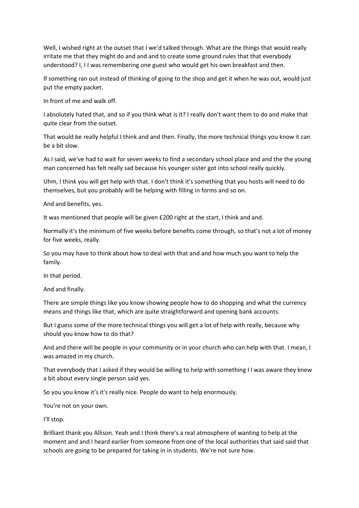Well, I wished right at the outset that I we'd talked through. What are the things that would really irritate me that they might do and and and to create some ground rules that that everybody understood? I, I I was remembering one guest who would get his own breakfast and then.

If something ran out instead of thinking of going to the shop and get it when he was out, would just put the empty packet.

In front of me and walk off.

I absolutely hated that, and so if you think what is it? I really don't want them to do and make that quite clear from the outset.

That would be really helpful I think and and then. Finally, the more technical things you know it can be a bit slow.

As I said, we've had to wait for seven weeks to find a secondary school place and and the the young man concerned has felt really sad because his younger sister got into school really quickly.

Uhm, I think you will get help with that. I don't think it's something that you hosts will need to do themselves, but you probably will be helping with filling in forms and so on.

And and benefits, yes.

It was mentioned that people will be given £200 right at the start, I think and and.

Normally it's the minimum of five weeks before benefits come through, so that's not a lot of money for five weeks, really.

So you may have to think about how to deal with that and and how much you want to help the family.

In that period.

And and finally.

There are simple things like you know showing people how to do shopping and what the currency means and things like that, which are quite straightforward and opening bank accounts.

But I guess some of the more technical things you will get a lot of help with really, because why should you know how to do that?

And and there will be people in your community or in your church who can help with that. I mean, I was amazed in my church.

That everybody that I asked if they would be willing to help with something I I was aware they knew a bit about every single person said yes.

So you you know it's it's really nice. People do want to help enormously.

You're not on your own.

I'll stop.

Brilliant thank you Allison. Yeah and I think there's a real atmosphere of wanting to help at the moment and and I heard earlier from someone from one of the local authorities that said said that schools are going to be prepared for taking in in students. We're not sure how.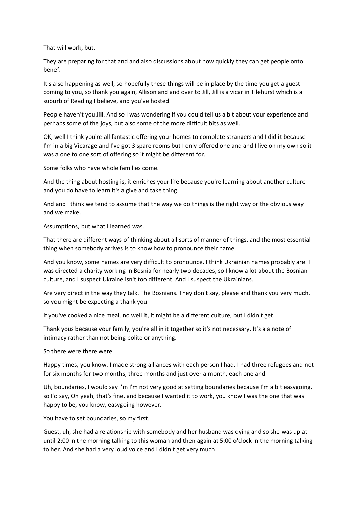That will work, but.

They are preparing for that and and also discussions about how quickly they can get people onto benef.

It's also happening as well, so hopefully these things will be in place by the time you get a guest coming to you, so thank you again, Allison and and over to Jill, Jill is a vicar in Tilehurst which is a suburb of Reading I believe, and you've hosted.

People haven't you Jill. And so I was wondering if you could tell us a bit about your experience and perhaps some of the joys, but also some of the more difficult bits as well.

OK, well I think you're all fantastic offering your homes to complete strangers and I did it because I'm in a big Vicarage and I've got 3 spare rooms but I only offered one and and I live on my own so it was a one to one sort of offering so it might be different for.

Some folks who have whole families come.

And the thing about hosting is, it enriches your life because you're learning about another culture and you do have to learn it's a give and take thing.

And and I think we tend to assume that the way we do things is the right way or the obvious way and we make.

Assumptions, but what I learned was.

That there are different ways of thinking about all sorts of manner of things, and the most essential thing when somebody arrives is to know how to pronounce their name.

And you know, some names are very difficult to pronounce. I think Ukrainian names probably are. I was directed a charity working in Bosnia for nearly two decades, so I know a lot about the Bosnian culture, and I suspect Ukraine isn't too different. And I suspect the Ukrainians.

Are very direct in the way they talk. The Bosnians. They don't say, please and thank you very much, so you might be expecting a thank you.

If you've cooked a nice meal, no well it, it might be a different culture, but I didn't get.

Thank yous because your family, you're all in it together so it's not necessary. It's a a note of intimacy rather than not being polite or anything.

So there were there were.

Happy times, you know. I made strong alliances with each person I had. I had three refugees and not for six months for two months, three months and just over a month, each one and.

Uh, boundaries, I would say I'm I'm not very good at setting boundaries because I'm a bit easygoing, so I'd say, Oh yeah, that's fine, and because I wanted it to work, you know I was the one that was happy to be, you know, easygoing however.

You have to set boundaries, so my first.

Guest, uh, she had a relationship with somebody and her husband was dying and so she was up at until 2:00 in the morning talking to this woman and then again at 5:00 o'clock in the morning talking to her. And she had a very loud voice and I didn't get very much.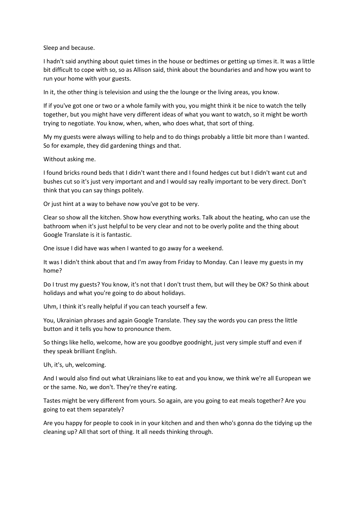Sleep and because.

I hadn't said anything about quiet times in the house or bedtimes or getting up times it. It was a little bit difficult to cope with so, so as Allison said, think about the boundaries and and how you want to run your home with your guests.

In it, the other thing is television and using the the lounge or the living areas, you know.

If if you've got one or two or a whole family with you, you might think it be nice to watch the telly together, but you might have very different ideas of what you want to watch, so it might be worth trying to negotiate. You know, when, when, who does what, that sort of thing.

My my guests were always willing to help and to do things probably a little bit more than I wanted. So for example, they did gardening things and that.

Without asking me.

I found bricks round beds that I didn't want there and I found hedges cut but I didn't want cut and bushes cut so it's just very important and and I would say really important to be very direct. Don't think that you can say things politely.

Or just hint at a way to behave now you've got to be very.

Clear so show all the kitchen. Show how everything works. Talk about the heating, who can use the bathroom when it's just helpful to be very clear and not to be overly polite and the thing about Google Translate is it is fantastic.

One issue I did have was when I wanted to go away for a weekend.

It was I didn't think about that and I'm away from Friday to Monday. Can I leave my guests in my home?

Do I trust my guests? You know, it's not that I don't trust them, but will they be OK? So think about holidays and what you're going to do about holidays.

Uhm, I think it's really helpful if you can teach yourself a few.

You, Ukrainian phrases and again Google Translate. They say the words you can press the little button and it tells you how to pronounce them.

So things like hello, welcome, how are you goodbye goodnight, just very simple stuff and even if they speak brilliant English.

Uh, it's, uh, welcoming.

And I would also find out what Ukrainians like to eat and you know, we think we're all European we or the same. No, we don't. They're they're eating.

Tastes might be very different from yours. So again, are you going to eat meals together? Are you going to eat them separately?

Are you happy for people to cook in in your kitchen and and then who's gonna do the tidying up the cleaning up? All that sort of thing. It all needs thinking through.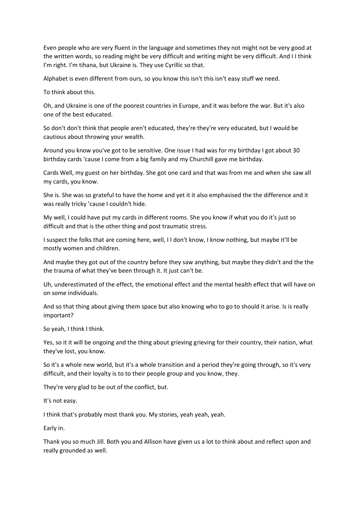Even people who are very fluent in the language and sometimes they not might not be very good at the written words, so reading might be very difficult and writing might be very difficult. And I I think I'm right. I'm tihana, but Ukraine is. They use Cyrillic so that.

Alphabet is even different from ours, so you know this isn't this isn't easy stuff we need.

To think about this.

Oh, and Ukraine is one of the poorest countries in Europe, and it was before the war. But it's also one of the best educated.

So don't don't think that people aren't educated, they're they're very educated, but I would be cautious about throwing your wealth.

Around you know you've got to be sensitive. One issue I had was for my birthday I got about 30 birthday cards 'cause I come from a big family and my Churchill gave me birthday.

Cards Well, my guest on her birthday. She got one card and that was from me and when she saw all my cards, you know.

She is. She was so grateful to have the home and yet it it also emphasised the the difference and it was really tricky 'cause I couldn't hide.

My well, I could have put my cards in different rooms. She you know if what you do it's just so difficult and that is the other thing and post traumatic stress.

I suspect the folks that are coming here, well, I I don't know, I know nothing, but maybe it'll be mostly women and children.

And maybe they got out of the country before they saw anything, but maybe they didn't and the the the trauma of what they've been through it. It just can't be.

Uh, underestimated of the effect, the emotional effect and the mental health effect that will have on on some individuals.

And so that thing about giving them space but also knowing who to go to should it arise. Is is really important?

So yeah, I think I think.

Yes, so it it will be ongoing and the thing about grieving grieving for their country, their nation, what they've lost, you know.

So it's a whole new world, but it's a whole transition and a period they're going through, so it's very difficult, and their loyalty is to to their people group and you know, they.

They're very glad to be out of the conflict, but.

It's not easy.

I think that's probably most thank you. My stories, yeah yeah, yeah.

Early in.

Thank you so much Jill. Both you and Allison have given us a lot to think about and reflect upon and really grounded as well.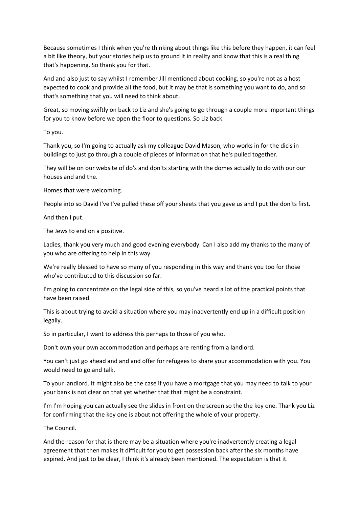Because sometimes I think when you're thinking about things like this before they happen, it can feel a bit like theory, but your stories help us to ground it in reality and know that this is a real thing that's happening. So thank you for that.

And and also just to say whilst I remember Jill mentioned about cooking, so you're not as a host expected to cook and provide all the food, but it may be that is something you want to do, and so that's something that you will need to think about.

Great, so moving swiftly on back to Liz and she's going to go through a couple more important things for you to know before we open the floor to questions. So Liz back.

To you.

Thank you, so I'm going to actually ask my colleague David Mason, who works in for the dicis in buildings to just go through a couple of pieces of information that he's pulled together.

They will be on our website of do's and don'ts starting with the domes actually to do with our our houses and and the.

Homes that were welcoming.

People into so David I've I've pulled these off your sheets that you gave us and I put the don'ts first.

And then I put.

The Jews to end on a positive.

Ladies, thank you very much and good evening everybody. Can I also add my thanks to the many of you who are offering to help in this way.

We're really blessed to have so many of you responding in this way and thank you too for those who've contributed to this discussion so far.

I'm going to concentrate on the legal side of this, so you've heard a lot of the practical points that have been raised.

This is about trying to avoid a situation where you may inadvertently end up in a difficult position legally.

So in particular, I want to address this perhaps to those of you who.

Don't own your own accommodation and perhaps are renting from a landlord.

You can't just go ahead and and and offer for refugees to share your accommodation with you. You would need to go and talk.

To your landlord. It might also be the case if you have a mortgage that you may need to talk to your your bank is not clear on that yet whether that that might be a constraint.

I'm I'm hoping you can actually see the slides in front on the screen so the the key one. Thank you Liz for confirming that the key one is about not offering the whole of your property.

The Council.

And the reason for that is there may be a situation where you're inadvertently creating a legal agreement that then makes it difficult for you to get possession back after the six months have expired. And just to be clear, I think it's already been mentioned. The expectation is that it.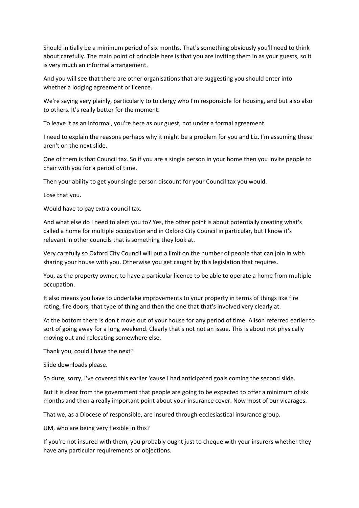Should initially be a minimum period of six months. That's something obviously you'll need to think about carefully. The main point of principle here is that you are inviting them in as your guests, so it is very much an informal arrangement.

And you will see that there are other organisations that are suggesting you should enter into whether a lodging agreement or licence.

We're saying very plainly, particularly to to clergy who I'm responsible for housing, and but also also to others. It's really better for the moment.

To leave it as an informal, you're here as our guest, not under a formal agreement.

I need to explain the reasons perhaps why it might be a problem for you and Liz. I'm assuming these aren't on the next slide.

One of them is that Council tax. So if you are a single person in your home then you invite people to chair with you for a period of time.

Then your ability to get your single person discount for your Council tax you would.

Lose that you.

Would have to pay extra council tax.

And what else do I need to alert you to? Yes, the other point is about potentially creating what's called a home for multiple occupation and in Oxford City Council in particular, but I know it's relevant in other councils that is something they look at.

Very carefully so Oxford City Council will put a limit on the number of people that can join in with sharing your house with you. Otherwise you get caught by this legislation that requires.

You, as the property owner, to have a particular licence to be able to operate a home from multiple occupation.

It also means you have to undertake improvements to your property in terms of things like fire rating, fire doors, that type of thing and then the one that that's involved very clearly at.

At the bottom there is don't move out of your house for any period of time. Alison referred earlier to sort of going away for a long weekend. Clearly that's not not an issue. This is about not physically moving out and relocating somewhere else.

Thank you, could I have the next?

Slide downloads please.

So duze, sorry, I've covered this earlier 'cause I had anticipated goals coming the second slide.

But it is clear from the government that people are going to be expected to offer a minimum of six months and then a really important point about your insurance cover. Now most of our vicarages.

That we, as a Diocese of responsible, are insured through ecclesiastical insurance group.

UM, who are being very flexible in this?

If you're not insured with them, you probably ought just to cheque with your insurers whether they have any particular requirements or objections.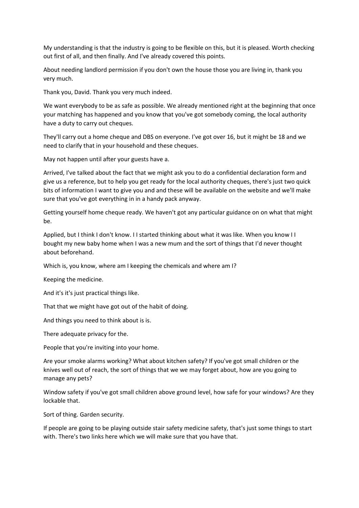My understanding is that the industry is going to be flexible on this, but it is pleased. Worth checking out first of all, and then finally. And I've already covered this points.

About needing landlord permission if you don't own the house those you are living in, thank you very much.

Thank you, David. Thank you very much indeed.

We want everybody to be as safe as possible. We already mentioned right at the beginning that once your matching has happened and you know that you've got somebody coming, the local authority have a duty to carry out cheques.

They'll carry out a home cheque and DBS on everyone. I've got over 16, but it might be 18 and we need to clarify that in your household and these cheques.

May not happen until after your guests have a.

Arrived, I've talked about the fact that we might ask you to do a confidential declaration form and give us a reference, but to help you get ready for the local authority cheques, there's just two quick bits of information I want to give you and and these will be available on the website and we'll make sure that you've got everything in in a handy pack anyway.

Getting yourself home cheque ready. We haven't got any particular guidance on on what that might be.

Applied, but I think I don't know. I I started thinking about what it was like. When you know I I bought my new baby home when I was a new mum and the sort of things that I'd never thought about beforehand.

Which is, you know, where am I keeping the chemicals and where am I?

Keeping the medicine.

And it's it's just practical things like.

That that we might have got out of the habit of doing.

And things you need to think about is is.

There adequate privacy for the.

People that you're inviting into your home.

Are your smoke alarms working? What about kitchen safety? If you've got small children or the knives well out of reach, the sort of things that we we may forget about, how are you going to manage any pets?

Window safety if you've got small children above ground level, how safe for your windows? Are they lockable that.

Sort of thing. Garden security.

If people are going to be playing outside stair safety medicine safety, that's just some things to start with. There's two links here which we will make sure that you have that.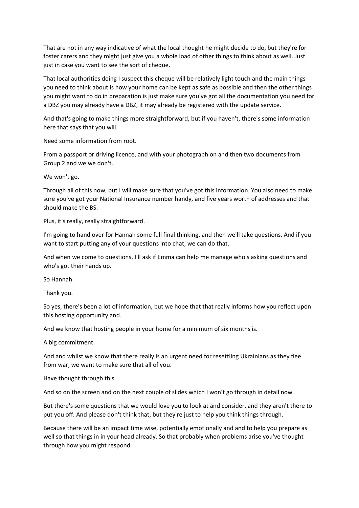That are not in any way indicative of what the local thought he might decide to do, but they're for foster carers and they might just give you a whole load of other things to think about as well. Just just in case you want to see the sort of cheque.

That local authorities doing I suspect this cheque will be relatively light touch and the main things you need to think about is how your home can be kept as safe as possible and then the other things you might want to do in preparation is just make sure you've got all the documentation you need for a DBZ you may already have a DBZ, it may already be registered with the update service.

And that's going to make things more straightforward, but if you haven't, there's some information here that says that you will.

Need some information from root.

From a passport or driving licence, and with your photograph on and then two documents from Group 2 and we we don't.

We won't go.

Through all of this now, but I will make sure that you've got this information. You also need to make sure you've got your National Insurance number handy, and five years worth of addresses and that should make the BS.

Plus, it's really, really straightforward.

I'm going to hand over for Hannah some full final thinking, and then we'll take questions. And if you want to start putting any of your questions into chat, we can do that.

And when we come to questions, I'll ask if Emma can help me manage who's asking questions and who's got their hands up.

So Hannah.

Thank you.

So yes, there's been a lot of information, but we hope that that really informs how you reflect upon this hosting opportunity and.

And we know that hosting people in your home for a minimum of six months is.

A big commitment.

And and whilst we know that there really is an urgent need for resettling Ukrainians as they flee from war, we want to make sure that all of you.

Have thought through this.

And so on the screen and on the next couple of slides which I won't go through in detail now.

But there's some questions that we would love you to look at and consider, and they aren't there to put you off. And please don't think that, but they're just to help you think things through.

Because there will be an impact time wise, potentially emotionally and and to help you prepare as well so that things in in your head already. So that probably when problems arise you've thought through how you might respond.